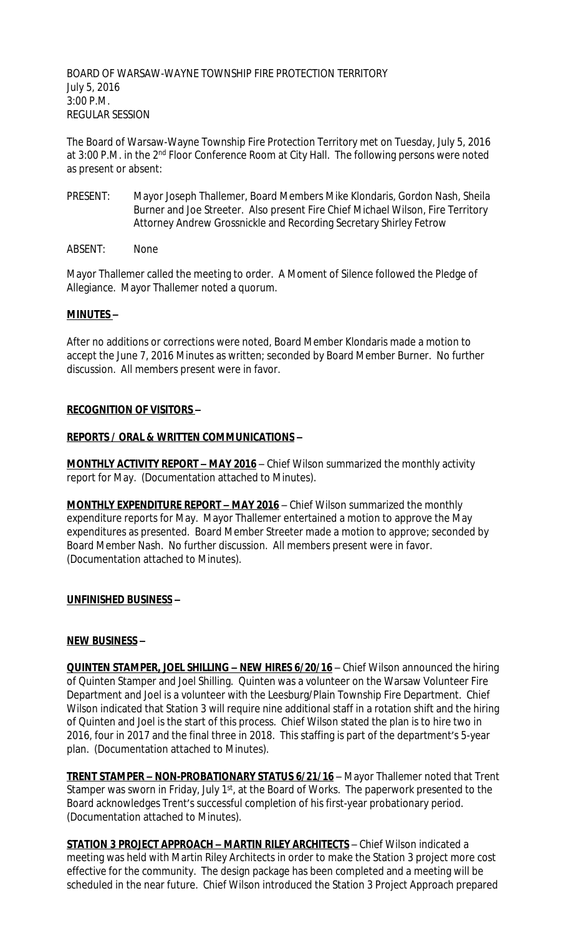BOARD OF WARSAW-WAYNE TOWNSHIP FIRE PROTECTION TERRITORY July 5, 2016 3:00 P.M. REGULAR SESSION

The Board of Warsaw-Wayne Township Fire Protection Territory met on Tuesday, July 5, 2016 at 3:00 P.M. in the 2<sup>nd</sup> Floor Conference Room at City Hall. The following persons were noted as present or absent:

- PRESENT: Mayor Joseph Thallemer, Board Members Mike Klondaris, Gordon Nash, Sheila Burner and Joe Streeter. Also present Fire Chief Michael Wilson, Fire Territory Attorney Andrew Grossnickle and Recording Secretary Shirley Fetrow
- ABSENT: None

Mayor Thallemer called the meeting to order. A Moment of Silence followed the Pledge of Allegiance. Mayor Thallemer noted a quorum.

## **MINUTES –**

After no additions or corrections were noted, Board Member Klondaris made a motion to accept the June 7, 2016 Minutes as written; seconded by Board Member Burner. No further discussion. All members present were in favor.

#### **RECOGNITION OF VISITORS –**

## **REPORTS / ORAL & WRITTEN COMMUNICATIONS –**

**MONTHLY ACTIVITY REPORT - MAY 2016** - Chief Wilson summarized the monthly activity report for May. (Documentation attached to Minutes).

**MONTHLY EXPENDITURE REPORT - MAY 2016** - Chief Wilson summarized the monthly expenditure reports for May. Mayor Thallemer entertained a motion to approve the May expenditures as presented. Board Member Streeter made a motion to approve; seconded by Board Member Nash. No further discussion. All members present were in favor. (Documentation attached to Minutes).

## **UNFINISHED BUSINESS –**

#### **NEW BUSINESS –**

**QUINTEN STAMPER, JOEL SHILLING - NEW HIRES 6/20/16** - Chief Wilson announced the hiring of Quinten Stamper and Joel Shilling. Quinten was a volunteer on the Warsaw Volunteer Fire Department and Joel is a volunteer with the Leesburg/Plain Township Fire Department. Chief Wilson indicated that Station 3 will require nine additional staff in a rotation shift and the hiring of Quinten and Joel is the start of this process. Chief Wilson stated the plan is to hire two in 2016, four in 2017 and the final three in 2018. This staffing is part of the department's 5-year plan. (Documentation attached to Minutes).

**TRENT STAMPER – NON-PROBATIONARY STATUS 6/21/16** – Mayor Thallemer noted that Trent Stamper was sworn in Friday, July 1<sup>st</sup>, at the Board of Works. The paperwork presented to the Board acknowledges Trent's successful completion of his first-year probationary period. (Documentation attached to Minutes).

**STATION 3 PROJECT APPROACH – MARTIN RILEY ARCHITECTS** – Chief Wilson indicated a meeting was held with Martin Riley Architects in order to make the Station 3 project more cost effective for the community. The design package has been completed and a meeting will be scheduled in the near future. Chief Wilson introduced the Station 3 Project Approach prepared